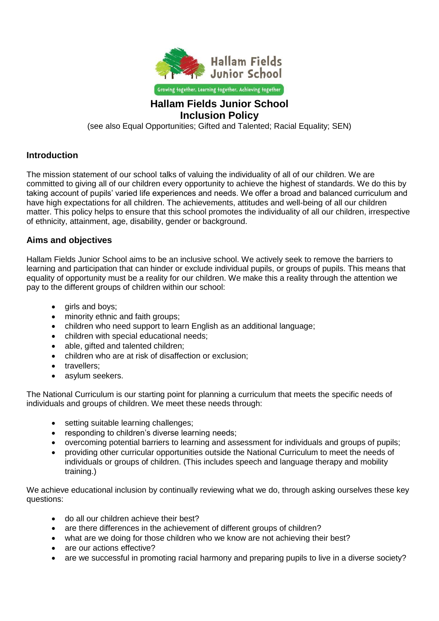

## **Inclusion Policy**

(see also Equal Opportunities; Gifted and Talented; Racial Equality; SEN)

### **Introduction**

The mission statement of our school talks of valuing the individuality of all of our children. We are committed to giving all of our children every opportunity to achieve the highest of standards. We do this by taking account of pupils' varied life experiences and needs. We offer a broad and balanced curriculum and have high expectations for all children. The achievements, attitudes and well-being of all our children matter. This policy helps to ensure that this school promotes the individuality of all our children, irrespective of ethnicity, attainment, age, disability, gender or background.

#### **Aims and objectives**

Hallam Fields Junior School aims to be an inclusive school. We actively seek to remove the barriers to learning and participation that can hinder or exclude individual pupils, or groups of pupils. This means that equality of opportunity must be a reality for our children. We make this a reality through the attention we pay to the different groups of children within our school:

- airls and boys:
- minority ethnic and faith groups;
- children who need support to learn English as an additional language;
- children with special educational needs;
- able, gifted and talented children;
- children who are at risk of disaffection or exclusion;
- travellers;
- asylum seekers.

The National Curriculum is our starting point for planning a curriculum that meets the specific needs of individuals and groups of children. We meet these needs through:

- setting suitable learning challenges;
- responding to children's diverse learning needs;
- overcoming potential barriers to learning and assessment for individuals and groups of pupils;
- providing other curricular opportunities outside the National Curriculum to meet the needs of individuals or groups of children. (This includes speech and language therapy and mobility training.)

We achieve educational inclusion by continually reviewing what we do, through asking ourselves these key questions:

- do all our children achieve their best?
- are there differences in the achievement of different groups of children?
- what are we doing for those children who we know are not achieving their best?
- are our actions effective?
- are we successful in promoting racial harmony and preparing pupils to live in a diverse society?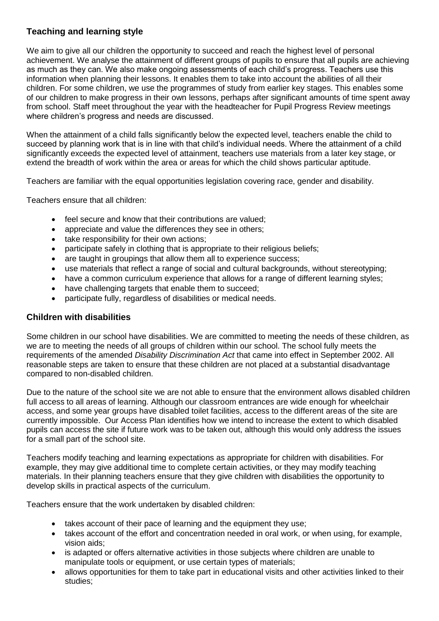# **Teaching and learning style**

We aim to give all our children the opportunity to succeed and reach the highest level of personal achievement. We analyse the attainment of different groups of pupils to ensure that all pupils are achieving as much as they can. We also make ongoing assessments of each child's progress. Teachers use this information when planning their lessons. It enables them to take into account the abilities of all their children. For some children, we use the programmes of study from earlier key stages. This enables some of our children to make progress in their own lessons, perhaps after significant amounts of time spent away from school. Staff meet throughout the year with the headteacher for Pupil Progress Review meetings where children's progress and needs are discussed.

When the attainment of a child falls significantly below the expected level, teachers enable the child to succeed by planning work that is in line with that child's individual needs. Where the attainment of a child significantly exceeds the expected level of attainment, teachers use materials from a later key stage, or extend the breadth of work within the area or areas for which the child shows particular aptitude.

Teachers are familiar with the equal opportunities legislation covering race, gender and disability.

Teachers ensure that all children:

- feel secure and know that their contributions are valued;
- appreciate and value the differences they see in others:
- take responsibility for their own actions;
- participate safely in clothing that is appropriate to their religious beliefs;
- are taught in groupings that allow them all to experience success;
- use materials that reflect a range of social and cultural backgrounds, without stereotyping;
- have a common curriculum experience that allows for a range of different learning styles;
- have challenging targets that enable them to succeed;
- participate fully, regardless of disabilities or medical needs.

### **Children with disabilities**

Some children in our school have disabilities. We are committed to meeting the needs of these children, as we are to meeting the needs of all groups of children within our school. The school fully meets the requirements of the amended *Disability Discrimination Act* that came into effect in September 2002. All reasonable steps are taken to ensure that these children are not placed at a substantial disadvantage compared to non-disabled children.

Due to the nature of the school site we are not able to ensure that the environment allows disabled children full access to all areas of learning. Although our classroom entrances are wide enough for wheelchair access, and some year groups have disabled toilet facilities, access to the different areas of the site are currently impossible. Our Access Plan identifies how we intend to increase the extent to which disabled pupils can access the site if future work was to be taken out, although this would only address the issues for a small part of the school site.

Teachers modify teaching and learning expectations as appropriate for children with disabilities. For example, they may give additional time to complete certain activities, or they may modify teaching materials. In their planning teachers ensure that they give children with disabilities the opportunity to develop skills in practical aspects of the curriculum.

Teachers ensure that the work undertaken by disabled children:

- takes account of their pace of learning and the equipment they use;
- takes account of the effort and concentration needed in oral work, or when using, for example, vision aids;
- is adapted or offers alternative activities in those subjects where children are unable to manipulate tools or equipment, or use certain types of materials;
- allows opportunities for them to take part in educational visits and other activities linked to their studies;